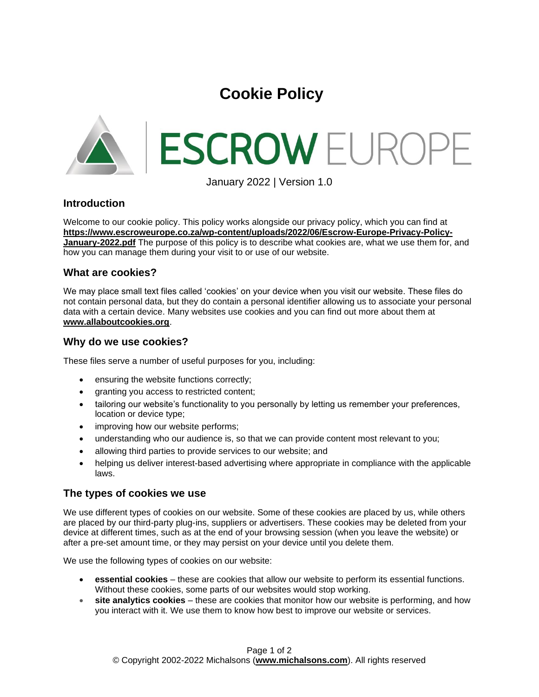# **Cookie Policy**



January 2022 | Version 1.0

## **Introduction**

Welcome to our cookie policy. This policy works alongside our privacy policy, which you can find at **[https://www.escroweurope.co.za/wp-content/uploads/2022/06/Escrow-Europe-Privacy-Policy-](https://www.escroweurope.co.za/wp-content/uploads/2022/06/Escrow-Europe-Privacy-Policy-January-2022.pdf)[January-2022.pdf](https://www.escroweurope.co.za/wp-content/uploads/2022/06/Escrow-Europe-Privacy-Policy-January-2022.pdf)** The purpose of this policy is to describe what cookies are, what we use them for, and how you can manage them during your visit to or use of our website.

## **What are cookies?**

We may place small text files called 'cookies' on your device when you visit our website. These files do not contain personal data, but they do contain a personal identifier allowing us to associate your personal data with a certain device. Many websites use cookies and you can find out more about them at **[www.allaboutcookies.org](http://www.allaboutcookies.org/)**.

#### **Why do we use cookies?**

These files serve a number of useful purposes for you, including:

- ensuring the website functions correctly;
- granting you access to restricted content;
- tailoring our website's functionality to you personally by letting us remember your preferences, location or device type;
- improving how our website performs;
- understanding who our audience is, so that we can provide content most relevant to you;
- allowing third parties to provide services to our website; and
- helping us deliver interest-based advertising where appropriate in compliance with the applicable laws.

## **The types of cookies we use**

We use different types of cookies on our website. Some of these cookies are placed by us, while others are placed by our third-party plug-ins, suppliers or advertisers. These cookies may be deleted from your device at different times, such as at the end of your browsing session (when you leave the website) or after a pre-set amount time, or they may persist on your device until you delete them.

We use the following types of cookies on our website:

- **essential cookies** these are cookies that allow our website to perform its essential functions. Without these cookies, some parts of our websites would stop working.
- **site analytics cookies** these are cookies that monitor how our website is performing, and how you interact with it. We use them to know how best to improve our website or services.